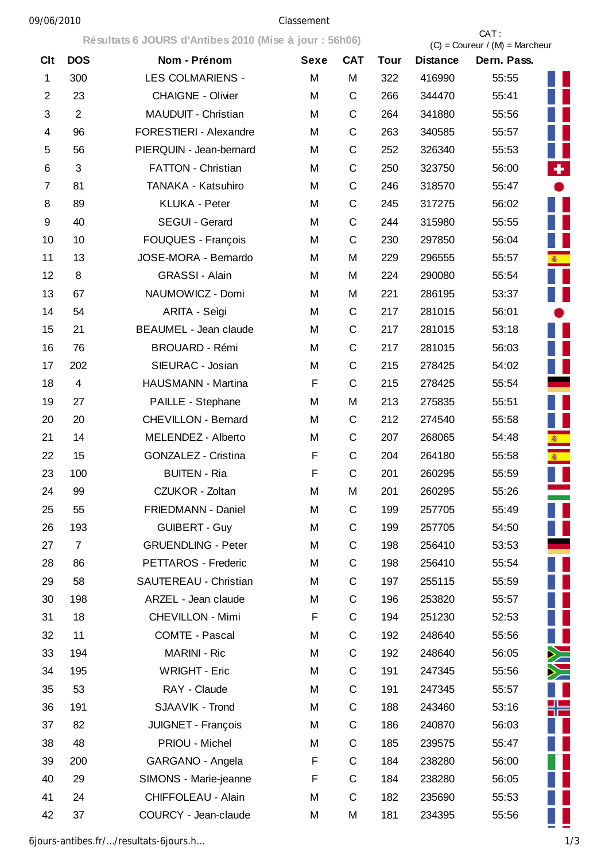## 09/06/2010 Classement

|                |                         | Résultats 6 JOURS d'Antibes 2010 (Mise à jour : 56h06) |             |             |             | CAT:<br>$(C) =$ Coureur / $(M) =$ Marcheur |             |        |
|----------------|-------------------------|--------------------------------------------------------|-------------|-------------|-------------|--------------------------------------------|-------------|--------|
| <b>Clt</b>     | <b>DOS</b>              | Nom - Prénom                                           | <b>Sexe</b> | <b>CAT</b>  | <b>Tour</b> | <b>Distance</b>                            | Dern. Pass. |        |
| $\mathbf 1$    | 300                     | <b>LES COLMARIENS -</b>                                | M           | M           | 322         | 416990                                     | 55:55       |        |
| $\overline{2}$ | 23                      | <b>CHAIGNE - Olivier</b>                               | M           | $\mathsf C$ | 266         | 344470                                     | 55:41       |        |
| 3              | $\overline{2}$          | MAUDUIT - Christian                                    | M           | C           | 264         | 341880                                     | 55:56       |        |
| 4              | 96                      | FORESTIERI - Alexandre                                 | M           | C           | 263         | 340585                                     | 55:57       |        |
| 5              | 56                      | PIERQUIN - Jean-bernard                                | M           | $\mathsf C$ | 252         | 326340                                     | 55:53       |        |
| 6              | 3                       | <b>FATTON - Christian</b>                              | M           | C           | 250         | 323750                                     | 56:00       | ٠.     |
| 7              | 81                      | TANAKA - Katsuhiro                                     | M           | $\mathsf C$ | 246         | 318570                                     | 55:47       |        |
| 8              | 89                      | <b>KLUKA - Peter</b>                                   | M           | $\mathsf C$ | 245         | 317275                                     | 56:02       |        |
| 9              | 40                      | SEGUI - Gerard                                         | M           | C           | 244         | 315980                                     | 55:55       |        |
| 10             | 10                      | FOUQUES - François                                     | M           | C           | 230         | 297850                                     | 56:04       |        |
| 11             | 13                      | JOSE-MORA - Bernardo                                   | M           | M           | 229         | 296555                                     | 55:57       | 衞      |
| 12             | 8                       | <b>GRASSI - Alain</b>                                  | M           | M           | 224         | 290080                                     | 55:54       |        |
| 13             | 67                      | NAUMOWICZ - Domi                                       | M           | M           | 221         | 286195                                     | 53:37       |        |
| 14             | 54                      | ARITA - Seìgi                                          | M           | $\mathsf C$ | 217         | 281015                                     | 56:01       |        |
| 15             | 21                      | <b>BEAUMEL - Jean claude</b>                           | M           | C           | 217         | 281015                                     | 53:18       |        |
| 16             | 76                      | <b>BROUARD - Rémi</b>                                  | M           | C           | 217         | 281015                                     | 56:03       |        |
| 17             | 202                     | SIEURAC - Josian                                       | M           | $\mathsf C$ | 215         | 278425                                     | 54:02       |        |
| 18             | $\overline{\mathbf{4}}$ | HAUSMANN - Martina                                     | F           | C           | 215         | 278425                                     | 55:54       |        |
| 19             | 27                      | PAILLE - Stephane                                      | M           | M           | 213         | 275835                                     | 55:51       |        |
| 20             | 20                      | <b>CHEVILLON - Bernard</b>                             | M           | C           | 212         | 274540                                     | 55:58       |        |
| 21             | 14                      | MELENDEZ - Alberto                                     | M           | $\mathsf C$ | 207         | 268065                                     | 54:48       |        |
| 22             | 15                      | <b>GONZALEZ - Cristina</b>                             | F           | $\mathsf C$ | 204         | 264180                                     | 55:58       |        |
| 23             | 100                     | <b>BUITEN - Ria</b>                                    | F           | $\mathsf C$ | 201         | 260295                                     | 55:59       |        |
| 24             | 99                      | CZUKOR - Zoltan                                        | M           | M           | 201         | 260295                                     | 55:26       |        |
| 25             | 55                      | FRIEDMANN - Daniel                                     | M           | $\mathsf C$ | 199         | 257705                                     | 55:49       |        |
| 26             | 193                     | <b>GUIBERT - Guy</b>                                   | M           | $\mathsf C$ | 199         | 257705                                     | 54:50       |        |
| 27             | $\overline{7}$          | <b>GRUENDLING - Peter</b>                              | M           | $\mathsf C$ | 198         | 256410                                     | 53:53       |        |
| 28             | 86                      | PETTAROS - Frederic                                    | M           | $\mathsf C$ | 198         | 256410                                     | 55:54       |        |
| 29             | 58                      | SAUTEREAU - Christian                                  | M           | $\mathsf C$ | 197         | 255115                                     | 55:59       |        |
| 30             | 198                     | ARZEL - Jean claude                                    | M           | $\mathsf C$ | 196         | 253820                                     | 55:57       |        |
| 31             | 18                      | <b>CHEVILLON - Mimi</b>                                | F           | $\mathsf C$ | 194         | 251230                                     | 52:53       |        |
| 32             | 11                      | COMTE - Pascal                                         | M           | $\mathsf C$ | 192         | 248640                                     | 55:56       | Ш      |
| 33             | 194                     | <b>MARINI - Ric</b>                                    | M           | $\mathsf C$ | 192         | 248640                                     | 56:05       | $\geq$ |
| 34             | 195                     | <b>WRIGHT - Eric</b>                                   | M           | $\mathsf C$ | 191         | 247345                                     | 55:56       | $\geq$ |
| 35             | 53                      | RAY - Claude                                           | M           | $\mathsf C$ | 191         | 247345                                     | 55:57       |        |
| 36             | 191                     | SJAAVIK - Trond                                        | M           | C           | 188         | 243460                                     | 53:16       | ╬═     |
| 37             | 82                      | JUIGNET - François                                     | M           | $\mathsf C$ | 186         | 240870                                     | 56:03       |        |
| 38             | 48                      | PRIOU - Michel                                         | M           | C           | 185         | 239575                                     | 55:47       |        |
| 39             | 200                     | GARGANO - Angela                                       | F           | $\mathsf C$ | 184         | 238280                                     | 56:00       |        |
| 40             | 29                      | SIMONS - Marie-jeanne                                  | F           | $\mathsf C$ | 184         | 238280                                     | 56:05       |        |
| 41             | 24                      | CHIFFOLEAU - Alain                                     | M           | $\mathsf C$ | 182         | 235690                                     | 55:53       |        |
| 42             | 37                      | COURCY - Jean-claude                                   | M           | M           | 181         | 234395                                     | 55:56       |        |

6jours-antibes.fr/…/resultats-6jours.h… 1/3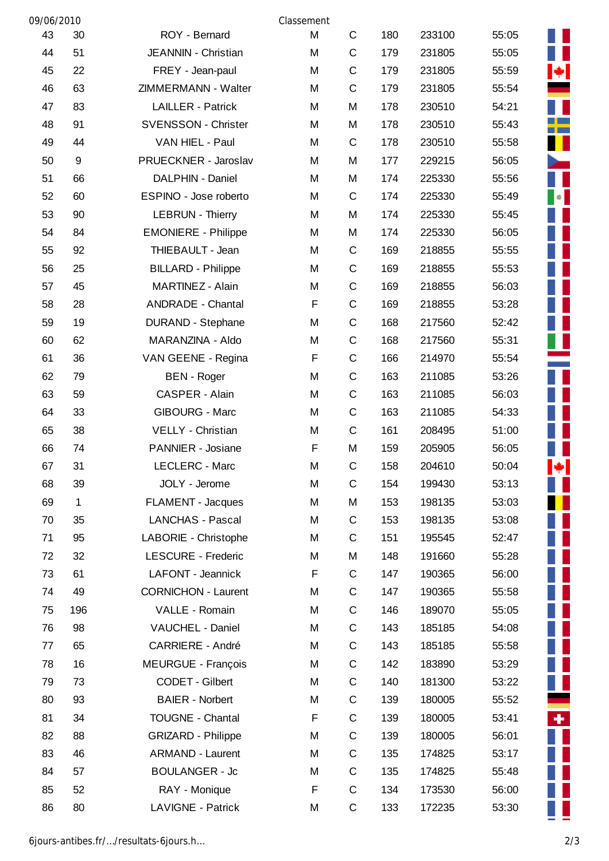| 09/06/2010 |              |                            | Classement |             |     |        |       |                                                     |
|------------|--------------|----------------------------|------------|-------------|-----|--------|-------|-----------------------------------------------------|
| 43         | 30           | ROY - Bernard              | M          | $\mathsf C$ | 180 | 233100 | 55:05 |                                                     |
| 44         | 51           | JEANNIN - Christian        | M          | C           | 179 | 231805 | 55:05 |                                                     |
| 45         | 22           | FREY - Jean-paul           | M          | C           | 179 | 231805 | 55:59 | $\left  \bullet \right $                            |
| 46         | 63           | ZIMMERMANN - Walter        | M          | C           | 179 | 231805 | 55:54 |                                                     |
| 47         | 83           | <b>LAILLER - Patrick</b>   | M          | M           | 178 | 230510 | 54:21 |                                                     |
| 48         | 91           | <b>SVENSSON - Christer</b> | M          | M           | 178 | 230510 | 55:43 | <b>The Second Second</b>                            |
| 49         | 44           | VAN HIEL - Paul            | M          | C           | 178 | 230510 | 55:58 | H.                                                  |
| 50         | $9\,$        | PRUECKNER - Jaroslav       | M          | M           | 177 | 229215 | 56:05 |                                                     |
| 51         | 66           | DALPHIN - Daniel           | M          | M           | 174 | 225330 | 55:56 |                                                     |
| 52         | 60           | ESPINO - Jose roberto      | M          | C           | 174 | 225330 | 55:49 | $\begin{array}{ c c } \hline \bullet & \end{array}$ |
| 53         | 90           | <b>LEBRUN - Thierry</b>    | M          | M           | 174 | 225330 | 55:45 |                                                     |
| 54         | 84           | <b>EMONIERE - Philippe</b> | M          | M           | 174 | 225330 | 56:05 | H                                                   |
| 55         | 92           | THIEBAULT - Jean           | M          | C           | 169 | 218855 | 55:55 |                                                     |
| 56         | 25           | <b>BILLARD - Philippe</b>  | M          | C           | 169 | 218855 | 55:53 | H                                                   |
| 57         | 45           | MARTINEZ - Alain           | M          | C           | 169 | 218855 | 56:03 |                                                     |
| 58         | 28           | <b>ANDRADE - Chantal</b>   | F          | C           | 169 | 218855 | 53:28 |                                                     |
| 59         | 19           | DURAND - Stephane          | M          | C           | 168 | 217560 | 52:42 |                                                     |
| 60         | 62           | MARANZINA - Aldo           | M          | C           | 168 | 217560 | 55:31 | Ш                                                   |
| 61         | 36           | VAN GEENE - Regina         | F          | C           | 166 | 214970 | 55:54 |                                                     |
| 62         | 79           | <b>BEN</b> - Roger         | M          | C           | 163 | 211085 | 53:26 | H                                                   |
| 63         | 59           | CASPER - Alain             | M          | $\mathbf C$ | 163 | 211085 | 56:03 |                                                     |
| 64         | 33           | <b>GIBOURG - Marc</b>      | M          | $\mathbf C$ | 163 | 211085 | 54:33 |                                                     |
| 65         | 38           | VELLY - Christian          | M          | $\mathbf C$ | 161 | 208495 | 51:00 |                                                     |
| 66         | 74           | PANNIER - Josiane          | F          | M           | 159 | 205905 | 56:05 |                                                     |
| 67         | 31           | LECLERC - Marc             | M          | C           | 158 | 204610 | 50:04 | $ \mathbf{\ast} $                                   |
| 68         | 39           | JOLY - Jerome              | M          | C           | 154 | 199430 | 53:13 | Ш                                                   |
| 69         | $\mathbf{1}$ | <b>FLAMENT - Jacques</b>   | M          | M           | 153 | 198135 | 53:03 |                                                     |
| 70         | 35           | LANCHAS - Pascal           | M          | C           | 153 | 198135 | 53:08 | Ш                                                   |
| 71         | 95           | LABORIE - Christophe       | M          | C           | 151 | 195545 | 52:47 | Ш                                                   |
| 72         | 32           | <b>LESCURE - Frederic</b>  | M          | M           | 148 | 191660 | 55:28 | Ш                                                   |
| 73         | 61           | LAFONT - Jeannick          | F          | C           | 147 | 190365 | 56:00 | Ш                                                   |
| 74         | 49           | <b>CORNICHON - Laurent</b> | M          | C           | 147 | 190365 | 55:58 | Ш                                                   |
| 75         | 196          | VALLE - Romain             | M          | C           | 146 | 189070 | 55:05 | $\frac{1}{2}$                                       |
| 76         | 98           | VAUCHEL - Daniel           | M          | C           | 143 | 185185 | 54:08 | $\mathbb{R}^2$                                      |
| 77         | 65           | <b>CARRIERE - André</b>    | M          | C           | 143 | 185185 | 55:58 |                                                     |
| 78         | 16           | <b>MEURGUE - François</b>  | M          | C           | 142 | 183890 | 53:29 |                                                     |
| 79         | 73           | CODET - Gilbert            | M          | C           | 140 | 181300 | 53:22 | $\blacksquare$                                      |
| 80         | 93           | <b>BAIER - Norbert</b>     | M          | C           | 139 | 180005 | 55:52 |                                                     |
| 81         | 34           | <b>TOUGNE - Chantal</b>    | F          | C           | 139 | 180005 | 53:41 | $+1$                                                |
| 82         | 88           | <b>GRIZARD - Philippe</b>  | M          | C           | 139 | 180005 | 56:01 |                                                     |
| 83         | 46           | <b>ARMAND - Laurent</b>    | M          | C           | 135 | 174825 | 53:17 | W                                                   |
| 84         | 57           | <b>BOULANGER - Jc</b>      | M          | C           | 135 | 174825 | 55:48 |                                                     |
| 85         | 52           | RAY - Monique              | F          | C           | 134 | 173530 | 56:00 |                                                     |
| 86         | 80           | <b>LAVIGNE - Patrick</b>   | M          | C           | 133 | 172235 | 53:30 |                                                     |